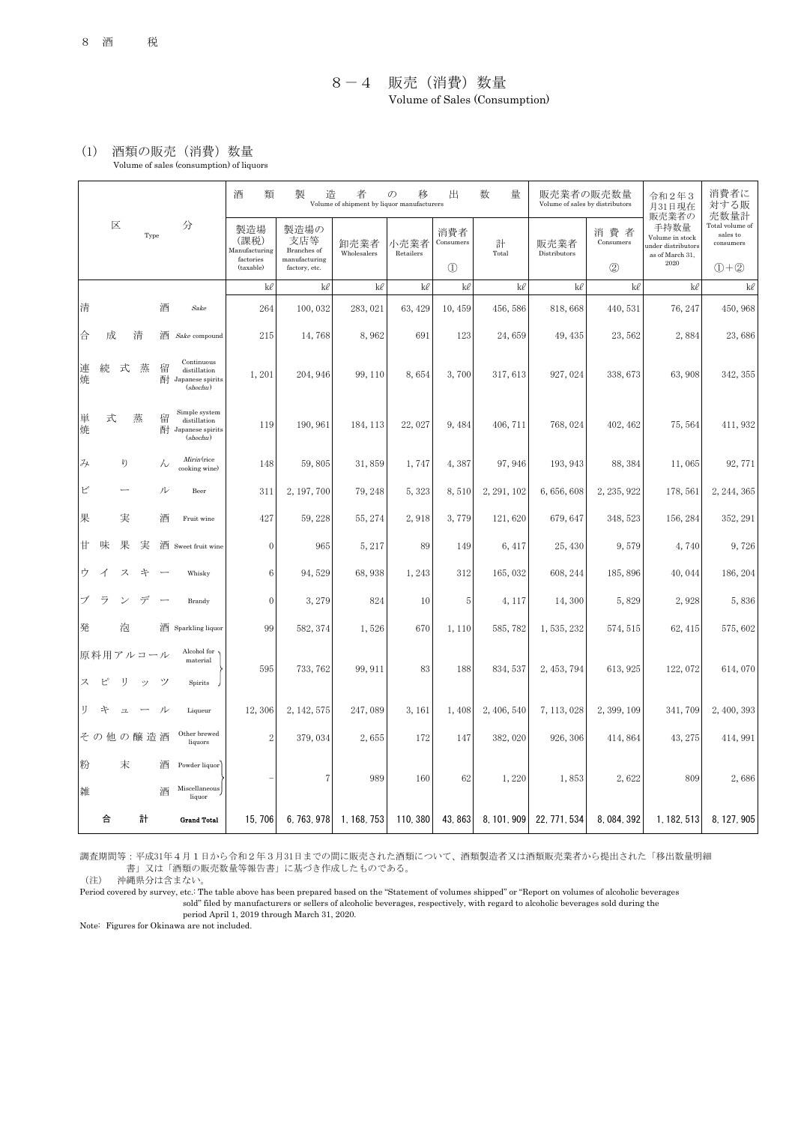## 8-4 販売(消費)数量 Volume of Sales (Consumption)

## (1) 酒類の販売(消費)数量 Volume of sales (consumption) of liquors

|  |        |   |    |          |        |                                                               | 酒<br>類                       | 製<br>造                                                       | $\mathcal{O}$<br>移<br>Volume of shipment by liquor manufacturers | 出                 | 量<br>数                         | 販売業者の販売数量<br>Volume of sales by distributors |                      | 令和2年3<br>月31日現在  | 消費者に<br>対する販                                                                      |                                                  |
|--|--------|---|----|----------|--------|---------------------------------------------------------------|------------------------------|--------------------------------------------------------------|------------------------------------------------------------------|-------------------|--------------------------------|----------------------------------------------|----------------------|------------------|-----------------------------------------------------------------------------------|--------------------------------------------------|
|  |        | 区 |    | Type     |        | 分                                                             | 製造場<br>(課税)<br>Manufacturing | 製造場の<br>支店等<br>Branches of<br>manufacturing<br>factory, etc. | 卸売業者<br>Wholesalers                                              | 小売業者<br>Retailers | 消費者<br>Consumers               | 計<br>Total                                   | 販売業者<br>Distributors | 消費者<br>Consumers | 販売業者の<br>手持数量<br>Volume in stock<br>ander distributors<br>as of March 31,<br>2020 | 売数量計<br>Total volume of<br>sales to<br>consumers |
|  |        |   |    |          |        |                                                               | factories<br>(taxable)       |                                                              |                                                                  |                   | $\textcircled{\scriptsize{1}}$ |                                              |                      | (2)              |                                                                                   | $(1) + (2)$                                      |
|  |        |   |    |          |        |                                                               | kl                           | kl                                                           | kl                                                               | kl                | kl                             | kl                                           | kl                   | kl               | kl                                                                                | kl                                               |
|  | 清      |   |    |          | 酒      | Sake                                                          | 264                          | 100,032                                                      | 283,021                                                          | 63, 429           | 10,459                         | 456,586                                      | 818,668              | 440, 531         | 76, 247                                                                           | 450, 968                                         |
|  | 合      | 成 |    | 清        | 酒      | Sake compound                                                 | 215                          | 14,768                                                       | 8,962                                                            | 691               | 123                            | 24,659                                       | 49, 435              | 23,562           | 2,884                                                                             | 23,686                                           |
|  | 連<br>焼 | 続 | 式  | 蒸        | 留<br>酎 | Continuous<br>distillation<br>Japanese spirits<br>(shochu)    | 1,201                        | 204, 946                                                     | 99, 110                                                          | 8,654             | 3,700                          | 317, 613                                     | 927, 024             | 338, 673         | 63,908                                                                            | 342, 355                                         |
|  | 単<br>焼 | 式 |    | 蒸        | 留<br>酎 | Simple system<br>distillation<br>Japanese spirits<br>(shochu) | 119                          | 190, 961                                                     | 184, 113                                                         | 22,027            | 9,484                          | 406, 711                                     | 768, 024             | 402, 462         | 75, 564                                                                           | 411, 932                                         |
|  | み      |   | ŋ  |          | hν     | Mirin (rice<br>cooking wine)                                  | 148                          | 59,805                                                       | 31,859                                                           | 1,747             | 4,387                          | 97, 946                                      | 193, 943             | 88, 384          | 11,065                                                                            | 92,771                                           |
|  | ビ      |   |    |          | ル      | Beer                                                          | 311                          | 2, 197, 700                                                  | 79, 248                                                          | 5,323             | 8,510                          | 2, 291, 102                                  | 6,656,608            | 2, 235, 922      | 178, 561                                                                          | 2, 244, 365                                      |
|  | 果      |   | 実  |          | 酒      | Fruit wine                                                    | 427                          | 59, 228                                                      | 55, 274                                                          | 2,918             | 3,779                          | 121,620                                      | 679, 647             | 348, 523         | 156, 284                                                                          | 352, 291                                         |
|  | Ħ      | 味 | 果  | 実        |        | 酒 Sweet fruit wine                                            | $\mathbf{0}$                 | 965                                                          | 5, 217                                                           | 89                | 149                            | 6, 417                                       | 25, 430              | 9,579            | 4,740                                                                             | 9,726                                            |
|  | ゥ      |   | ス  | 午        |        | Whisky                                                        | 6                            | 94,529                                                       | 68,938                                                           | 1,243             | 312                            | 165,032                                      | 608, 244             | 185, 896         | 40,044                                                                            | 186, 204                                         |
|  |        | ラ |    | デ        |        | Brandy                                                        | $\theta$                     | 3, 279                                                       | 824                                                              | 10                | 5                              | 4, 117                                       | 14,300               | 5,829            | 2,928                                                                             | 5,836                                            |
|  | 発      |   | 泡  |          |        | 酒 Sparkling liquor                                            | 99                           | 582, 374                                                     | 1,526                                                            | 670               | 1,110                          | 585,782                                      | 1, 535, 232          | 574, 515         | 62, 415                                                                           | 575,602                                          |
|  |        |   |    | 原料用アルコール |        | Alcohol for<br>material                                       | 595                          | 733, 762                                                     | 99, 911                                                          | 83                | 188                            | 834, 537                                     | 2, 453, 794          | 613, 925         | 122, 072                                                                          | 614,070                                          |
|  | ス      | ピ | IJ | ŵ)       | ツ      | <b>Spirits</b>                                                |                              |                                                              |                                                                  |                   |                                |                                              |                      |                  |                                                                                   |                                                  |
|  | IJ     | 午 | 그  |          | ル      | Liqueur                                                       | 12,306                       | 2, 142, 575                                                  | 247,089                                                          | 3, 161            | 1,408                          | 2, 406, 540                                  | 7, 113, 028          | 2, 399, 109      | 341,709                                                                           | 2,400,393                                        |
|  |        |   |    | その他の醸造酒  |        | Other brewed<br>liquors                                       | $\boldsymbol{2}$             | 379,034                                                      | 2,655                                                            | 172               | 147                            | 382,020                                      | 926, 306             | 414, 864         | 43, 275                                                                           | 414, 991                                         |
|  | 粉      |   | 末  |          | 酒      | Powder liquor                                                 |                              | $\overline{7}$                                               | 989                                                              | 160               | 62                             | 1,220                                        | 1,853                | 2,622            | 809                                                                               | 2,686                                            |
|  | 雑      |   |    |          | 酒      | Miscellaneous<br>liquor                                       |                              |                                                              |                                                                  |                   |                                |                                              |                      |                  |                                                                                   |                                                  |
|  |        | 合 |    | 計        |        | <b>Grand Total</b>                                            | 15,706                       | 6, 763, 978                                                  | 1, 168, 753                                                      | 110, 380          | 43, 863                        | 8, 101, 909                                  | 22, 771, 534         | 8, 084, 392      | 1, 182, 513                                                                       | 8, 127, 905                                      |

調査期間等:平成31年4月1日から令和2年3月31日までの間に販売された酒類について、酒類製造者又は酒類販売業者から提出された「移出数量明細 書」又は「酒類の販売数量等報告書」に基づき作成したものである。

(注) 沖縄県分は含まない。

 sold" filed by manufacturers or sellers of alcoholic beverages, respectively, with regard to alcoholic beverages sold during the Period covered by survey, etc.: The table above has been prepared based on the "Statement of volumes shipped" or "Report on volumes of alcoholic beverages

period April 1, 2019 through March 31, 2020.

Note: Figures for Okinawa are not included.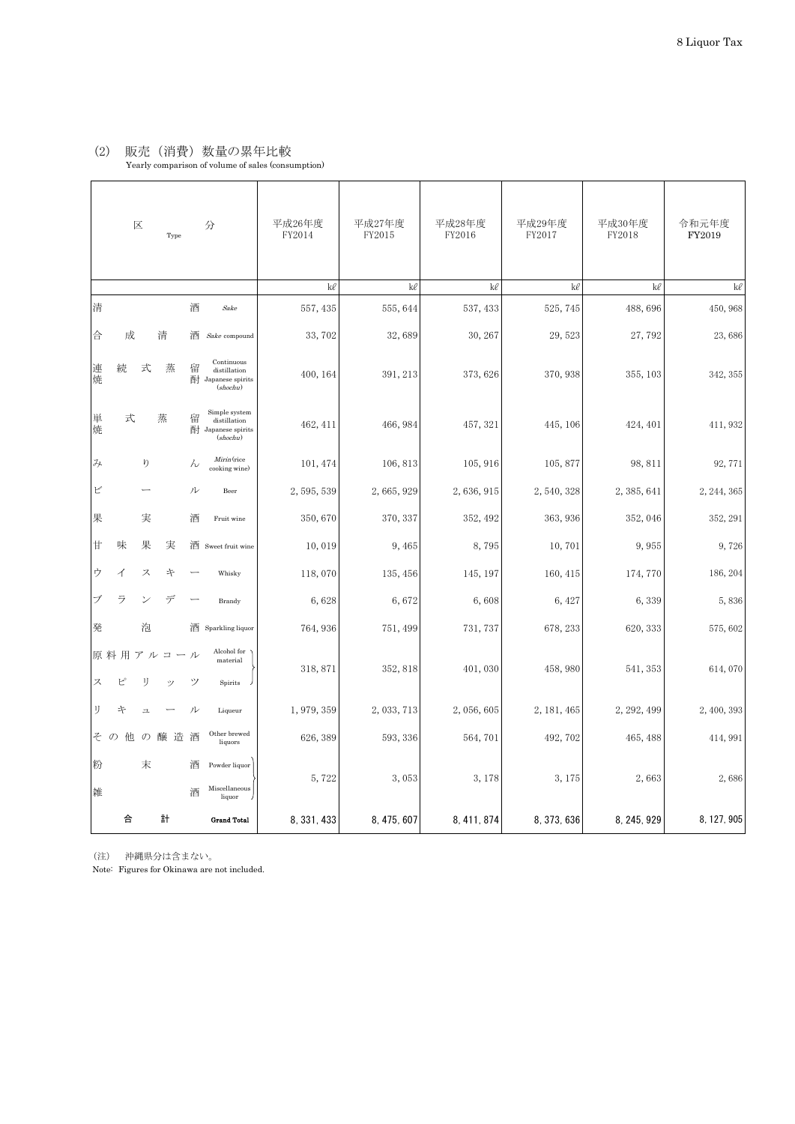## (2) 販売(消費)数量の累年比較

|          | $\mathbb{\overline{X}}$<br>Type |                |            | 分      | 平成26年度<br>FY2014                                              | 平成27年度<br>FY2015 | 平成28年度<br>FY2016 | 平成29年度<br>FY2017 | 平成30年度<br>FY2018 | 令和元年度<br>FY2019 |             |
|----------|---------------------------------|----------------|------------|--------|---------------------------------------------------------------|------------------|------------------|------------------|------------------|-----------------|-------------|
|          |                                 |                |            |        |                                                               | kl               | kl               | kl               | kl               | kl              | kl          |
| 清        |                                 |                |            | 酒      | Sake                                                          | 557, 435         | 555, 644         | 537, 433         | 525, 745         | 488,696         | 450, 968    |
| 合        | 成                               |                | 清          | 酒      | $\emph{Sake}$ compound                                        | 33,702           | 32,689           | 30, 267          | 29,523           | 27,792          | 23,686      |
| 連焼       | 続                               | 式              | 蒸          | 留<br>酎 | Continuous<br>distillation<br>Japanese spirits<br>(shochu)    | 400, 164         | 391, 213         | 373, 626         | 370, 938         | 355, 103        | 342, 355    |
| 単焼       | 式                               |                | 蒸          | 留<br>酎 | Simple system<br>distillation<br>Japanese spirits<br>(shochu) | 462, 411         | 466, 984         | 457, 321         | 445, 106         | 424, 401        | 411, 932    |
| み        |                                 | ŋ              |            | h      | Mirin (rice<br>cooking wine)                                  | 101, 474         | 106, 813         | 105, 916         | 105,877          | 98, 811         | 92, 771     |
| ピ        |                                 |                |            | ル      | Beer                                                          | 2,595,539        | 2,665,929        | 2,636,915        | 2,540,328        | 2, 385, 641     | 2, 244, 365 |
| 果        |                                 | 実              |            | 酒      | Fruit wine                                                    | 350,670          | 370, 337         | 352, 492         | 363, 936         | 352, 046        | 352, 291    |
| $\sharp$ | 味                               | 果              | 実          | 酒      | Sweet fruit wine                                              | 10,019           | 9,465            | 8,795            | 10,701           | 9,955           | 9,726       |
| ゥ        | ⊿                               | ス              | 午          |        | Whisky                                                        | 118,070          | 135, 456         | 145, 197         | 160, 415         | 174, 770        | 186, 204    |
| ブ        | ラ                               |                | デ          |        | Brandy                                                        | 6,628            | 6,672            | 6,608            | 6, 427           | 6,339           | 5,836       |
| 発        |                                 | 泡              |            | 酒      | Sparkling liquor                                              | 764, 936         | 751, 499         | 731, 737         | 678, 233         | 620, 333        | 575,602     |
| ス        | 原料用<br>ピ                        | IJ             | アルコール<br>ッ | ツ      | Alcohol for<br>material<br>Spirits                            | 318, 871         | 352, 818         | 401,030          | 458,980          | 541, 353        | 614,070     |
| IJ       | 午                               | $\overline{a}$ |            | ル      | Liqueur                                                       | 1, 979, 359      | 2, 033, 713      | 2,056,605        | 2, 181, 465      | 2, 292, 499     | 2, 400, 393 |
| そ        | $\mathcal{D}$<br>他              | $\mathcal{O}$  | 醸造酒        |        | Other brewed<br>liquors                                       | 626, 389         | 593, 336         | 564,701          | 492, 702         | 465, 488        | 414, 991    |
| 粉<br>雑   |                                 | 末              |            | 酒<br>酒 | Powder liquor<br>Miscellaneous<br>$li$ quor                   | 5,722            | 3,053            | 3, 178           | 3, 175           | 2,663           | 2,686       |
|          | 合                               |                | 計          |        | <b>Grand Total</b>                                            | 8, 331, 433      | 8, 475, 607      | 8, 411, 874      | 8, 373, 636      | 8, 245, 929     | 8, 127, 905 |

(注) 沖縄県分は含まない。

Note: Figures for Okinawa are not included.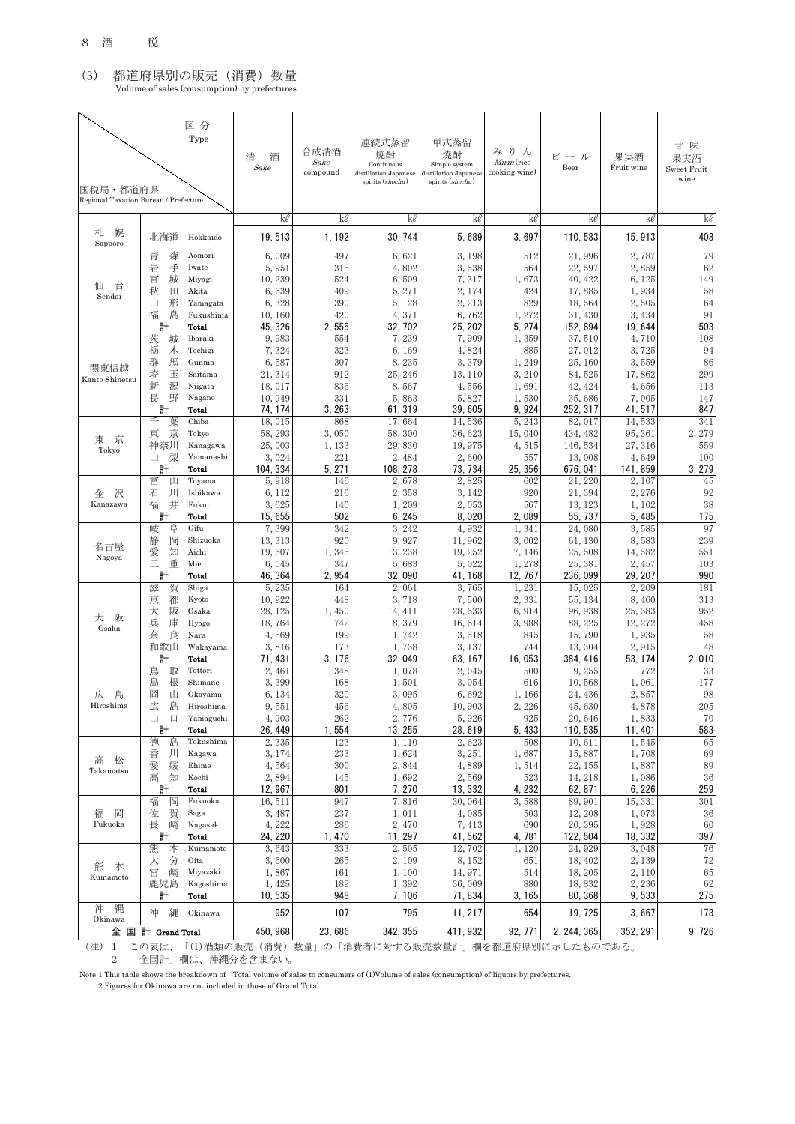## (3) 都道府県別の販売(消費)数量 Volume of sales (consumption) by prefectures

| 国税局・都道府県<br>Regional Taxation Bureau / Prefecture |                  | 区分<br>Type         | 清<br>酒<br>Sake     | 合成清酒<br>Sake<br>compound | 連続式蒸留<br>焼酎<br>Continuous<br>distillation Japanese<br>spirits (shochu) | 単式蒸留<br>焼酎<br>Simple system<br>distillation Japanese<br>spirits (shochu) | りん<br>み<br>Mirin (rice<br>cooking wine) | ビール<br>Beer         | 果実酒<br>Fruit wine | 甘 味<br>果実酒<br>Sweet Fruit<br>wine |
|---------------------------------------------------|------------------|--------------------|--------------------|--------------------------|------------------------------------------------------------------------|--------------------------------------------------------------------------|-----------------------------------------|---------------------|-------------------|-----------------------------------|
|                                                   |                  |                    | kl                 | kl                       | kl                                                                     | kl                                                                       | kl                                      | kl                  | kl                | kl                                |
| 幌<br>札<br>Sapporo                                 | 北海道              | Hokkaido           | 19,513             | 1, 192                   | 30, 744                                                                | 5,689                                                                    | 3,697                                   | 110, 583            | 15, 913           | 408                               |
|                                                   | 青<br>森           | Aomori             | 6,009              | 497                      | 6,621                                                                  | 3, 198                                                                   | 512                                     | 21,996              | 2,787             | 79                                |
|                                                   | 岩<br>手<br>宮<br>城 | Iwate<br>Miyagi    | 5,951<br>10,239    | 315<br>524               | 4,802<br>6,509                                                         | 3,538<br>7,317                                                           | 564<br>1,673                            | 22,597<br>40, 422   | 2,859<br>6, 125   | 62<br>149                         |
| 仙<br>台<br>Sendai                                  | 秋<br>田           | Akita              | 6,639              | 409                      | 5, 271                                                                 | 2, 174                                                                   | 424                                     | 17,885              | 1,934             | 58                                |
|                                                   | 形<br>Щ           | Yamagata           | 6,328              | 390                      | 5, 128                                                                 | 2, 213                                                                   | 829                                     | 18,564              | 2,505             | 64                                |
|                                                   | 福<br>島<br>計      | Fukushima<br>Total | 10, 160<br>45, 326 | 420<br>2,555             | 4,371<br>32, 702                                                       | 6,762<br>25, 202                                                         | 1,272<br>5, 274                         | 31, 430<br>152, 894 | 3, 434<br>19, 644 | 91<br>503                         |
|                                                   | 茨<br>城           | Ibaraki            | 9,983              | 554                      | 7,239                                                                  | 7,909                                                                    | 1,359                                   | 37,510              | 4,710             | 108                               |
|                                                   | 栃<br>木<br>馬      | Tochigi            | 7,324              | 323                      | 6, 169                                                                 | 4,824                                                                    | 885                                     | 27,012              | 3,725             | 94                                |
| 関東信越                                              | 群<br>埼<br>玉      | Gunma<br>Saitama   | 6,587<br>21, 314   | 307<br>912               | 8,235<br>25, 246                                                       | 3,379<br>13, 110                                                         | 1,249<br>3, 210                         | 25, 160<br>84, 525  | 3,559<br>17,862   | 86<br>299                         |
| Kanto Shinetsu                                    | 潟<br>新           | Niigata            | 18,017             | 836                      | 8,567                                                                  | 4,556                                                                    | 1,691                                   | 42, 424             | 4,656             | 113                               |
|                                                   | 長<br>野           | Nagano             | 10,949             | 331                      | 5,863                                                                  | 5,827                                                                    | 1,530                                   | 35,686              | 7,005             | 147                               |
|                                                   | 計<br>千<br>葉      | Total<br>Chiba     | 74.174<br>18,015   | 3, 263<br>868            | 61, 319<br>17,664                                                      | 39,605<br>14,536                                                         | 9,924<br>5,243                          | 252, 317<br>82, 017 | 41, 517<br>14,533 | 847<br>341                        |
|                                                   | 東<br>京           | Tokyo              | 58, 293            | 3,050                    | 58, 300                                                                | 36, 623                                                                  | 15,040                                  | 434, 482            | 95, 361           | 2,279                             |
| 東京<br>Tokyo                                       | 神奈川              | Kanagawa           | 25,003             | 1,133                    | 29,830                                                                 | 19,975                                                                   | 4,515                                   | 146, 534            | 27, 316           | 559                               |
|                                                   | 梨<br>Ш<br>計      | Yamanashi<br>Total | 3,024<br>104, 334  | 221<br>5.271             | 2,484<br>108, 278                                                      | 2,600<br>73, 734                                                         | 557<br>25, 356                          | 13,008<br>676, 041  | 4,649<br>141, 859 | 100<br>3, 279                     |
|                                                   | 富<br>Щ           | Toyama             | 5,918              | 146                      | 2,678                                                                  | 2,825                                                                    | 602                                     | 21, 220             | 2, 107            | 45                                |
| 沢<br>金                                            | 石<br>ЛI          | Ishikawa           | 6, 112             | 216                      | 2,358                                                                  | 3, 142                                                                   | 920                                     | 21, 394             | 2, 276            | 92                                |
| Kanazawa                                          | 井<br>福           | Fukui              | 3,625              | 140                      | 1,209                                                                  | 2,053                                                                    | 567                                     | 13, 123             | 1, 102            | 38                                |
|                                                   | 計<br>岐<br>阜      | Total<br>Gifu      | 15,655<br>7,399    | 502<br>342               | 6, 245<br>3, 242                                                       | 8,020<br>4,932                                                           | 2,089<br>1,341                          | 55, 737<br>24,080   | 5, 485<br>3,585   | 175<br>97                         |
|                                                   | 静<br>岡           | Shizuoka           | 13, 313            | 920                      | 9,927                                                                  | 11,962                                                                   | 3,002                                   | 61, 130             | 8,583             | 239                               |
| 名古屋<br>Nagoya                                     | 愛<br>知           | Aichi              | 19,607             | 1,345                    | 13, 238                                                                | 19, 252                                                                  | 7, 146                                  | 125, 508            | 14,582            | 551                               |
|                                                   | Ξ<br>重<br>計      | Mie<br>Total       | 6,045<br>46, 364   | 347<br>2,954             | 5,683<br>32,090                                                        | 5,022<br>41, 168                                                         | 1,278<br>12, 767                        | 25, 381<br>236,099  | 2, 457<br>29, 207 | 103<br>990                        |
|                                                   | 滋<br>賀           | Shiga              | 5,235              | 164                      | 2,061                                                                  | 3,765                                                                    | 1,231                                   | 15,025              | 2, 209            | 181                               |
|                                                   | 京<br>都           | Kyoto              | 10,922             | 448                      | 3,718                                                                  | 7,500                                                                    | 2,331                                   | 55, 134             | 8,460             | 313                               |
| 阪<br>大                                            | 阪<br>大           | Osaka              | 28, 125            | 1,450                    | 14, 411                                                                | 28,633                                                                   | 6,914                                   | 196, 938            | 25, 383           | 952                               |
| Osaka                                             | 兵<br>庫<br>奈<br>良 | Hyogo<br>Nara      | 18,764<br>4,569    | 742<br>199               | 8,379<br>1,742                                                         | 16,614<br>3,518                                                          | 3,988<br>845                            | 88, 225<br>15,790   | 12, 272<br>1,935  | 458<br>58                         |
|                                                   | 和歌山              | Wakayama           | 3,816              | 173                      | 1,738                                                                  | 3, 137                                                                   | 744                                     | 13, 304             | 2,915             | 48                                |
|                                                   | 計                | Total              | 71, 431            | 3, 176                   | 32, 049                                                                | 63, 167                                                                  | 16,053                                  | 384, 416            | 53, 174           | 2.010                             |
|                                                   | 鳥<br>取<br>島<br>根 | Tottori<br>Shimane | 2, 461<br>3,399    | 348<br>168               | 1,078<br>1,501                                                         | 2,045<br>3,054                                                           | 500<br>616                              | 9,255<br>10,568     | 772<br>1,061      | 33<br>177                         |
| 広<br>島                                            | 岡<br>山           | Okayama            | 6, 134             | 320                      | 3,095                                                                  | 6,692                                                                    | 1,166                                   | 24, 436             | 2,857             | 98                                |
| Hiroshima                                         | 広<br>島           | Hiroshima          | 9,551              | 456                      | 4,805                                                                  | 10,903                                                                   | 2,226                                   | 45,630              | 4,878             | $205\,$                           |
|                                                   | 口<br>Щ           | Yamaguchi          | 4,903              | 262                      | 2,776                                                                  | 5,926                                                                    | 925                                     | 20,646              | 1,833             | 70                                |
|                                                   | 計<br>徳<br>島      | Total<br>Tokushima | 26, 449<br>2,335   | 1,554<br>123             | 13, 255<br>1,110                                                       | 28,619<br>2,623                                                          | 5,433<br>508                            | 110, 535<br>10,611  | 11, 401<br>1,545  | 583<br>65                         |
|                                                   | 香<br>Л           | Kagawa             | 3,174              | 233                      | 1,624                                                                  | 3, 251                                                                   | 1,687                                   | 15,887              | 1,708             | 69                                |
| 松<br>高<br>Takamatsu                               | 媛<br>愛           | Ehime              | 4,564              | 300                      | 2,844                                                                  | 4,889                                                                    | 1,514                                   | 22, 155             | 1,887             | $89\,$                            |
|                                                   | 高<br>知<br>計      | Kochi<br>Total     | 2,894<br>12,967    | 145<br>801               | 1,692<br>7,270                                                         | 2,569<br>13, 332                                                         | 523<br>4, 232                           | 14, 218<br>62, 871  | 1,086<br>6, 226   | 36<br>259                         |
|                                                   | 福<br>岡           | Fukuoka            | 16,511             | 947                      | 7,816                                                                  | 30,064                                                                   | 3,588                                   | 89, 901             | 15, 331           | 301                               |
| 福<br>岡                                            | 賀<br>佐           | Saga               | 3,487              | 237                      | 1,011                                                                  | 4,085                                                                    | 503                                     | 12, 208             | 1,073             | 36                                |
| Fukuoka                                           | 長<br>崎           | Nagasaki<br>Total  | 4,222<br>24, 220   | 286<br>1,470             | 2,470<br>11, 297                                                       | 7,413<br>41,562                                                          | 690                                     | 20, 395<br>122, 504 | 1,928<br>18, 332  | 60<br>397                         |
|                                                   | 計<br>熊<br>本      | Kumamoto           | 3,643              | 333                      | 2,505                                                                  | 12,702                                                                   | 4, 781<br>1,120                         | 24, 929             | 3,048             | 76                                |
|                                                   | 分<br>大           | Oita               | 3,600              | 265                      | 2,109                                                                  | 8, 152                                                                   | 651                                     | 18, 402             | 2,139             | 72                                |
| 熊<br>本<br>Kumamoto                                | 宮<br>崎           | Miyazaki           | 1,867              | 161                      | 1,100                                                                  | 14,971                                                                   | 514                                     | 18, 205             | 2,110             | 65                                |
|                                                   | 鹿児島<br>計         | Kagoshima<br>Total | 1,425<br>10,535    | 189<br>948               | 1,392<br>7,106                                                         | 36,009<br>71,834                                                         | 880<br>3, 165                           | 18,832<br>80, 368   | 2,236<br>9,533    | 62<br>275                         |
| 沖<br>縄                                            | 縄<br>沖           | Okinawa            | 952                | 107                      | 795                                                                    | 11, 217                                                                  | 654                                     | 19, 725             | 3,667             | 173                               |
| Okinawa                                           | 全国計 Grand Total  |                    | 450, 968           | 23,686                   | 342, 355                                                               | 411, 932                                                                 | 92, 771                                 | 2, 244, 365         | 352, 291          | 9,726                             |

(注)1 この表は、「(1)酒類の販売(消費)数量」の「消費者に対する販売数量計」欄を都道府県別に示したものである。 2 「全国計」欄は、沖縄分を含まない。

Note:1 This table shows the breakdown of "Total volume of sales to consumers of (1)Volume of sales (consumption) of liquors by prefectures.

2 Figures for Okinawa are not included in those of Grand Total.